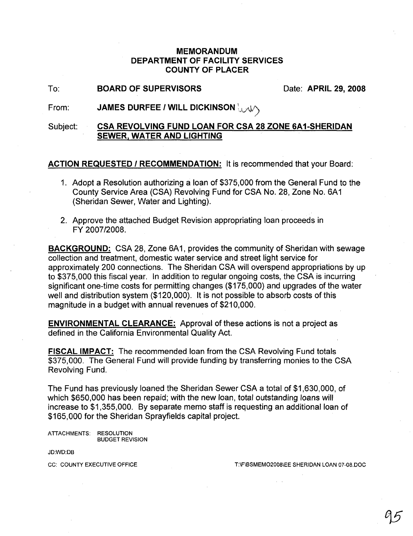## MEMORANDUM DEPARTMENT OF FACILITY SERVICES COUNTY OF PLACER

To: BOARD OF SUPERVISORS Date: APRIL 29, 2008

From: JAMES DURFEE / WILL DICKINSON  $\downarrow\downarrow\downarrow\wedge$ 

## Subject: CSA REVOLVING FUND LOAN FOR CSA 28 ZONE 6A1-SHERIDAN SEWER. WATER AND LIGHTING

ACTION REQUESTED / RECOMMENDATION: It is recommended that your Board:

- 1. Adopt a Resolution authorizing a loan of \$375,000 from the General Fund to the County Service Area (CSA) Revolving Fund for CSA No. 28, Zone No. 6A1 (Sheridan Sewer, Water and Lighting).
- 2. Approve the attached Budget Revision appropriating loan proceeds in FY 2007/2008.

BACKGROUND: CSA 28, Zone 6A1, provides the community of Sheridan with sewage collection and treatment, domestic water service and street light service for approximately 200 connections. The Sheridan CSA will overspend appropriations by up to \$375,000 this fiscal year. In addition to regular ongoing costs, the CSA is incurring significant one-time costs for permitting changes (\$175,000) and upgrades of the water well and distribution system (\$120,000). It is not possible to absorb costs of this magnitude in a budget with annual revenues of \$210,000.

ENVIRONMENTAL CLEARANCE: Approval of these actions is not a project as defined in the California Environmental Quality Act.

FISCAL IMPACT: The recommended loan from the CSA Revolving Fund totals \$375,000. The General Fund will provide funding by transferring monies to the CSA Revolving Fund.

The Fund has previously loaned the Sheridan Sewer CSA a total of \$1 ,630,000, of which \$650,000 has been repaid; with the new loan, total outstanding loans will increase to \$1,355,000. By separate memo staff is requesting an additional loan of \$165,000 for the Sheridan Sprayfields capital project.

ATTACHMENTS: RESOLUTION BUDGET REVISION

JD:WD:DB

CC: COUNTY EXECUTIVE OFFICE THE TO THE THE THE THE SMEMO2008LE SHERIDAN LOAN 07-08.DOC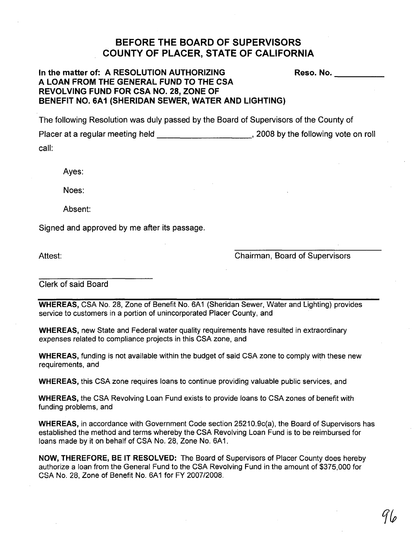## **BEFORE THE BOARD OF SUPERVISORS COUNTY OF PLACER, STATE OF CALIFORNIA**

## **In the matter of: A RESOLUTION AUTHORIZING Reso. No.** \_ **A LOAN FROM THE GENERAL FUND TO THE eSA REVOLVING FUND FOR eSA NO. 28, ZONE OF BENEFIT NO. 6A1 (SHERIDAN SEWER, WATER AND LIGHTING)**

The following Resolution was duly passed by the Board of Supervisors of the County of

Placer at a regular meeting held , 2008 by the following vote on roll call:

Ayes:

Noes:

Absent:

Signed and approved by me after its passage.

Attest:

Chairman, Board of Supervisors

Clerk of said Board

**WHEREAS,** CSA No. 28, Zone of Benefit No. 6A1 (Sheridan Sewer, Water and Lighting) provides service to customers in a portion of unincorporated Placer County, and

**WHEREAS,** new State and Federal water quality requirements have resulted in extraordinary expenses related to compliance projects in this CSA zone, and

**WHEREAS,** funding is not available within the bUdget of said GSA zone to comply with these new requirements, and

**WHEREAS,** this GSA zone requires loans to continue providing valuable public services, and

**WHEREAS,** the GSA Revolving Loan Fund exists to provide loans to CSA zones of benefit with funding problems, and

**WHEREAS,** in accordance with Government Code section 25210.9c(a), the Board of Supervisors has established the method and terms whereby the CSA Revolving Loan Fund is to be reimbursed for loans made by it on behalf of CSA No. 28, Zone No. 6A1.

**NOW, THEREFORE, BE IT RESOLVED:** The Board of Supervisors of Placer County does hereby authorize a loan from the General Fund to the GSA Revolving Fund in the amount of \$375,000 for GSA No. 28, Zone of Benefit No. 6A1 for FY 2007/2008.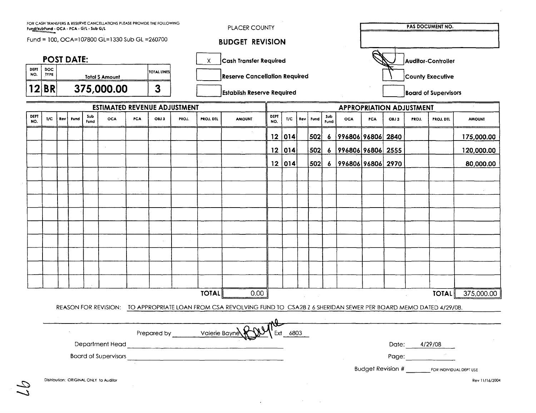| <b>POST DATE:</b> |                    |                                       |      |             |                             |     |                                      |       | Cash Transfer Required<br>X |                                                                                                                            |             |                                 |  |                         |                  |                   |                             | Auditor-Controller |               |                                           |               |  |
|-------------------|--------------------|---------------------------------------|------|-------------|-----------------------------|-----|--------------------------------------|-------|-----------------------------|----------------------------------------------------------------------------------------------------------------------------|-------------|---------------------------------|--|-------------------------|------------------|-------------------|-----------------------------|--------------------|---------------|-------------------------------------------|---------------|--|
| DEPT<br>NO.       | DOC<br><b>TYPE</b> | TOTAL LINES<br><b>Total \$ Amount</b> |      |             |                             |     | <b>Reserve Cancellation Required</b> |       |                             |                                                                                                                            |             |                                 |  | <b>County Executive</b> |                  |                   |                             |                    |               |                                           |               |  |
|                   | 12 BR              | 375,000.00                            |      |             |                             |     | $3\overline{3}$                      |       |                             | <b>Establish Reserve Required</b>                                                                                          |             |                                 |  |                         |                  |                   | <b>Board of Supervisors</b> |                    |               |                                           |               |  |
|                   |                    | <b>ESTIMATED REVENUE ADJUSTMENT</b>   |      |             |                             |     |                                      |       |                             |                                                                                                                            |             | <b>APPROPRIATION ADJUSTMENT</b> |  |                         |                  |                   |                             |                    |               |                                           |               |  |
| DEPT<br>NO.       | 1/C                | Rev                                   | Fund | Sub<br>Fund | <b>OCA</b>                  | PCA | OBJ 3                                | PROJ. | <b>PROJ. DTL</b>            | <b>AMOUNT</b>                                                                                                              | DEPT<br>NO. | T/C                             |  | Rev   Fund              | Sub<br>Fund      | <b>OCA</b>        | <b>PCA</b>                  | OBJ 3              | PROJ.         | <b>PROJ. DTL</b>                          | <b>AMOUNT</b> |  |
|                   |                    |                                       |      |             |                             |     |                                      |       |                             |                                                                                                                            | $12 \mid$   | $\vert$ 014 $\vert$             |  | 502                     | $\boldsymbol{6}$ | 996806 96806 2840 |                             |                    |               |                                           | 175,000.00    |  |
|                   |                    |                                       |      |             |                             |     |                                      |       |                             |                                                                                                                            | 12          | 014                             |  | 502                     | $\boldsymbol{6}$ | 996806 96806 2555 |                             |                    |               |                                           | 120,000.00    |  |
|                   |                    |                                       |      |             |                             |     |                                      |       |                             |                                                                                                                            | 12          | 014                             |  | 502                     | -6               | 996806 96806 2970 |                             |                    |               |                                           | 80,000.00     |  |
|                   |                    |                                       |      |             |                             |     |                                      |       |                             |                                                                                                                            |             |                                 |  |                         |                  |                   |                             |                    |               |                                           |               |  |
|                   |                    |                                       |      |             |                             |     |                                      |       |                             |                                                                                                                            |             |                                 |  |                         |                  |                   |                             |                    |               |                                           |               |  |
|                   |                    |                                       |      |             |                             |     |                                      |       |                             |                                                                                                                            |             |                                 |  |                         |                  |                   |                             |                    |               |                                           |               |  |
|                   |                    |                                       |      |             |                             |     |                                      |       |                             |                                                                                                                            |             |                                 |  |                         |                  |                   |                             |                    |               |                                           |               |  |
|                   |                    |                                       |      |             |                             |     |                                      |       |                             |                                                                                                                            |             |                                 |  |                         |                  |                   |                             |                    |               |                                           |               |  |
|                   |                    |                                       |      |             |                             |     |                                      |       |                             |                                                                                                                            |             |                                 |  |                         |                  |                   |                             |                    |               |                                           |               |  |
|                   |                    |                                       |      |             |                             |     |                                      |       |                             |                                                                                                                            |             |                                 |  |                         |                  |                   |                             |                    |               |                                           |               |  |
|                   |                    |                                       |      |             |                             |     |                                      |       |                             |                                                                                                                            |             |                                 |  |                         |                  |                   |                             |                    |               |                                           |               |  |
|                   |                    |                                       |      |             |                             |     |                                      |       |                             |                                                                                                                            |             |                                 |  |                         |                  |                   |                             |                    |               |                                           |               |  |
|                   |                    |                                       |      |             |                             |     |                                      |       | <b>TOTAL</b>                | 0.00                                                                                                                       |             |                                 |  |                         |                  |                   |                             |                    |               | <b>TOTAL</b>                              | 375,000.00    |  |
|                   |                    |                                       |      |             |                             |     |                                      |       |                             | REASON FOR REVISION: TO APPROPRIATE LOAN FROM CSA REVOLVING FUND TO CSA28 Z 6 SHERIDAN SEWER PER BOARD MEMO DATED 4/29/08. |             |                                 |  |                         |                  |                   |                             |                    |               |                                           |               |  |
|                   |                    |                                       |      |             |                             |     |                                      |       |                             |                                                                                                                            | ىمم         |                                 |  |                         |                  |                   |                             |                    |               |                                           |               |  |
|                   |                    |                                       |      |             |                             |     | Prepared by Valerie Bayne            |       |                             |                                                                                                                            |             | 6803                            |  |                         |                  |                   |                             |                    |               |                                           |               |  |
|                   |                    |                                       |      |             | Department Head             |     |                                      |       |                             |                                                                                                                            |             |                                 |  |                         |                  |                   |                             |                    | Date: 4/29/08 |                                           |               |  |
|                   |                    |                                       |      |             | <b>Board of Supervisors</b> |     |                                      |       |                             | <u> 2001 - An Aonaichte ann an Comhair an Chuid ann an Chuid ann an Chuid ann an Chuid ann an Chuid ann an Chuid an</u>    |             |                                 |  |                         |                  |                   |                             | Page:              |               | Budget Revision # FOR INDIVIDUAL DEPT USE |               |  |

 $\mathcal{L}^{\text{max}}_{\text{max}}$